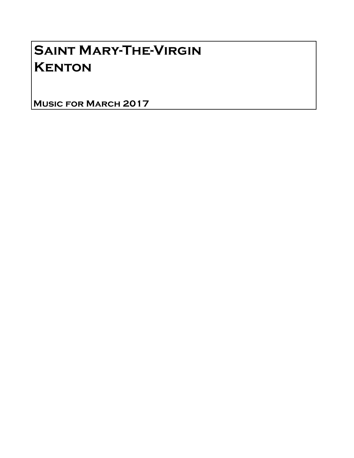## Saint Mary-The-Virgin **KENTON**

Music for March 2017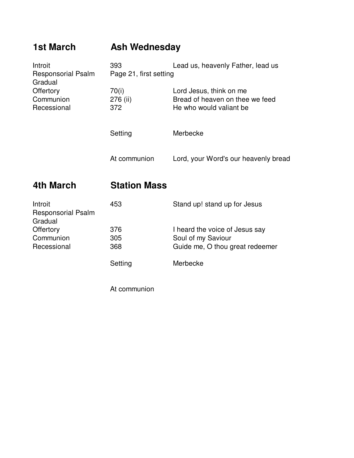| <b>1st March</b>                                | <b>Ash Wednesday</b>          |                                                                                       |
|-------------------------------------------------|-------------------------------|---------------------------------------------------------------------------------------|
| Introit<br><b>Responsorial Psalm</b><br>Gradual | 393<br>Page 21, first setting | Lead us, heavenly Father, lead us                                                     |
| Offertory<br>Communion<br>Recessional           | 70(i)<br>276 (ii)<br>372      | Lord Jesus, think on me<br>Bread of heaven on thee we feed<br>He who would valiant be |
|                                                 | Setting                       | Merbecke                                                                              |
|                                                 | At communion                  | Lord, your Word's our heavenly bread                                                  |
|                                                 |                               |                                                                                       |

## **4th March Station Mass**

| Introit<br><b>Responsorial Psalm</b><br>Gradual | 453               | Stand up! stand up for Jesus                                                            |
|-------------------------------------------------|-------------------|-----------------------------------------------------------------------------------------|
| Offertory<br>Communion<br>Recessional           | 376<br>305<br>368 | I heard the voice of Jesus say<br>Soul of my Saviour<br>Guide me, O thou great redeemer |
|                                                 | Setting           | Merbecke                                                                                |

At communion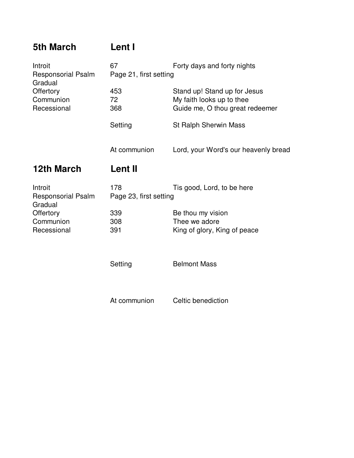| <b>5th March</b> | Lent I |  |
|------------------|--------|--|
|                  |        |  |

| Introit<br><b>Responsorial Psalm</b><br>Gradual | 67<br>Forty days and forty nights<br>Page 21, first setting |                                                                                              |  |
|-------------------------------------------------|-------------------------------------------------------------|----------------------------------------------------------------------------------------------|--|
| Offertory<br>Communion<br>Recessional           | 453<br>72<br>368                                            | Stand up! Stand up for Jesus<br>My faith looks up to thee<br>Guide me, O thou great redeemer |  |
|                                                 | Setting                                                     | <b>St Ralph Sherwin Mass</b>                                                                 |  |
|                                                 | At communion                                                | Lord, your Word's our heavenly bread                                                         |  |
|                                                 |                                                             |                                                                                              |  |
| 12th March                                      | <b>Lent II</b>                                              |                                                                                              |  |
| Introit<br><b>Responsorial Psalm</b>            | 178<br>Page 23, first setting                               | Tis good, Lord, to be here                                                                   |  |
| Gradual<br>Offertory                            | 339                                                         | Be thou my vision                                                                            |  |
| Communion                                       | 308                                                         | Thee we adore                                                                                |  |
| Recessional                                     | 391                                                         | King of glory, King of peace                                                                 |  |

At communion Celtic benediction